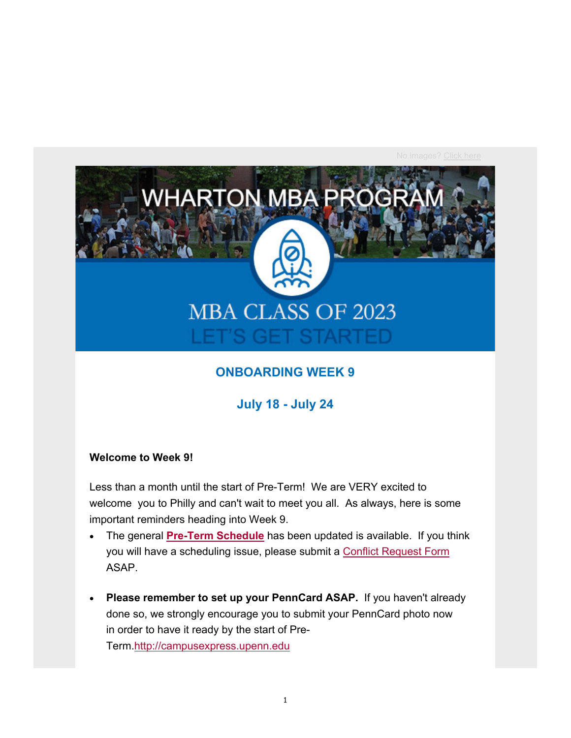

## **ONBOARDING WEEK 9**

**July 18 - July 24**

#### **Welcome to Week 9!**

Less than a month until the start of Pre-Term! We are VERY excited to welcome you to Philly and can't wait to meet you all. As always, here is some important reminders heading into Week 9.

- The general **Pre-Term Schedule** has been updated is available. If you think you will have a scheduling issue, please submit a Conflict Request Form ASAP.
- **Please remember to set up your PennCard ASAP.** If you haven't already done so, we strongly encourage you to submit your PennCard photo now in order to have it ready by the start of Pre-Term.http://campusexpress.upenn.edu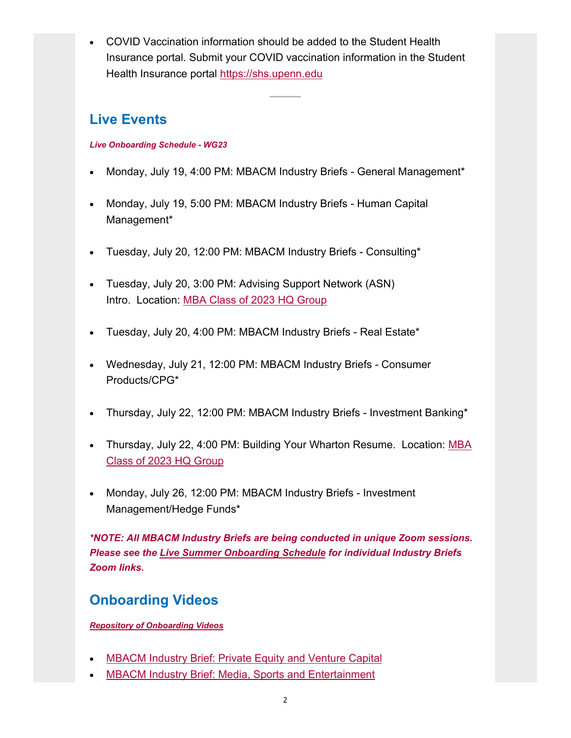COVID Vaccination information should be added to the Student Health Insurance portal. Submit your COVID vaccination information in the Student Health Insurance portal https://shs.upenn.edu

## **Live Events**

#### *Live Onboarding Schedule - WG23*

- Monday, July 19, 4:00 PM: MBACM Industry Briefs General Management\*
- Monday, July 19, 5:00 PM: MBACM Industry Briefs Human Capital Management\*
- Tuesday, July 20, 12:00 PM: MBACM Industry Briefs Consulting\*
- Tuesday, July 20, 3:00 PM: Advising Support Network (ASN) Intro. Location: MBA Class of 2023 HQ Group
- Tuesday, July 20, 4:00 PM: MBACM Industry Briefs Real Estate\*
- Wednesday, July 21, 12:00 PM: MBACM Industry Briefs Consumer Products/CPG\*
- Thursday, July 22, 12:00 PM: MBACM Industry Briefs Investment Banking\*
- Thursday, July 22, 4:00 PM: Building Your Wharton Resume. Location: MBA Class of 2023 HQ Group
- Monday, July 26, 12:00 PM: MBACM Industry Briefs Investment Management/Hedge Funds\*

*\*NOTE: All MBACM Industry Briefs are being conducted in unique Zoom sessions. Please see the Live Summer Onboarding Schedule for individual Industry Briefs Zoom links.* 

## **Onboarding Videos**

*Repository of Onboarding Videos*

- MBACM Industry Brief: Private Equity and Venture Capital
- MBACM Industry Brief: Media, Sports and Entertainment